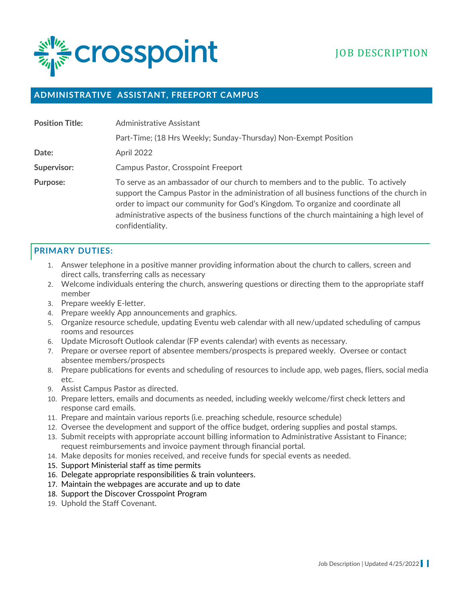

## **ADMINISTRATIVE ASSISTANT, FREEPORT CAMPUS**

| <b>Position Title:</b> | Administrative Assistant                                                                                                                                                                                                                                                                                                                                                             |
|------------------------|--------------------------------------------------------------------------------------------------------------------------------------------------------------------------------------------------------------------------------------------------------------------------------------------------------------------------------------------------------------------------------------|
|                        | Part-Time; (18 Hrs Weekly; Sunday-Thursday) Non-Exempt Position                                                                                                                                                                                                                                                                                                                      |
| Date:                  | April 2022                                                                                                                                                                                                                                                                                                                                                                           |
| Supervisor:            | <b>Campus Pastor, Crosspoint Freeport</b>                                                                                                                                                                                                                                                                                                                                            |
| Purpose:               | To serve as an ambassador of our church to members and to the public. To actively<br>support the Campus Pastor in the administration of all business functions of the church in<br>order to impact our community for God's Kingdom. To organize and coordinate all<br>administrative aspects of the business functions of the church maintaining a high level of<br>confidentiality. |

#### **PRIMARY DUTIES:**

- 1. Answer telephone in a positive manner providing information about the church to callers, screen and direct calls, transferring calls as necessary
- 2. Welcome individuals entering the church, answering questions or directing them to the appropriate staff member
- 3. Prepare weekly E-letter.
- 4. Prepare weekly App announcements and graphics.
- 5. Organize resource schedule, updating Eventu web calendar with all new/updated scheduling of campus rooms and resources
- 6. Update Microsoft Outlook calendar (FP events calendar) with events as necessary.
- 7. Prepare or oversee report of absentee members/prospects is prepared weekly. Oversee or contact absentee members/prospects
- 8. Prepare publications for events and scheduling of resources to include app, web pages, fliers, social media etc.
- 9. Assist Campus Pastor as directed.
- 10. Prepare letters, emails and documents as needed, including weekly welcome/first check letters and response card emails.
- 11. Prepare and maintain various reports (i.e. preaching schedule, resource schedule)
- 12. Oversee the development and support of the office budget, ordering supplies and postal stamps.
- 13. Submit receipts with appropriate account billing information to Administrative Assistant to Finance; request reimbursements and invoice payment through financial portal.
- 14. Make deposits for monies received, and receive funds for special events as needed.
- 15. Support Ministerial staff as time permits
- 16. Delegate appropriate responsibilities & train volunteers.
- 17. Maintain the webpages are accurate and up to date
- 18. Support the Discover Crosspoint Program
- 19. Uphold the Staff Covenant.